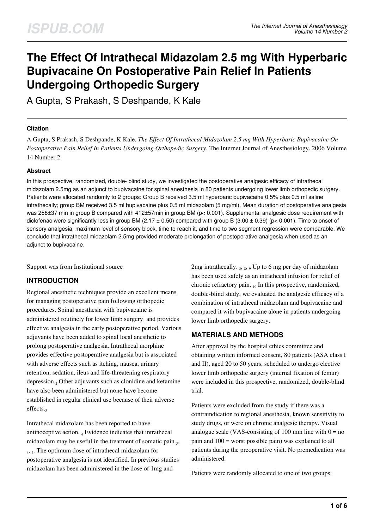# **The Effect Of Intrathecal Midazolam 2.5 mg With Hyperbaric Bupivacaine On Postoperative Pain Relief In Patients Undergoing Orthopedic Surgery**

A Gupta, S Prakash, S Deshpande, K Kale

#### **Citation**

A Gupta, S Prakash, S Deshpande, K Kale. *The Effect Of Intrathecal Midazolam 2.5 mg With Hyperbaric Bupivacaine On Postoperative Pain Relief In Patients Undergoing Orthopedic Surgery*. The Internet Journal of Anesthesiology. 2006 Volume 14 Number 2.

#### **Abstract**

In this prospective, randomized, double- blind study, we investigated the postoperative analgesic efficacy of intrathecal midazolam 2.5mg as an adjunct to bupivacaine for spinal anesthesia in 80 patients undergoing lower limb orthopedic surgery. Patients were allocated randomly to 2 groups: Group B received 3.5 ml hyperbaric bupivacaine 0.5% plus 0.5 ml saline intrathecally; group BM received 3.5 ml bupivacaine plus 0.5 ml midazolam (5 mg/ml). Mean duration of postoperative analgesia was 258±37 min in group B compared with 412±57min in group BM (p< 0.001). Supplemental analgesic dose requirement with diclofenac were significantly less in group BM (2.17  $\pm$  0.50) compared with group B (3.00  $\pm$  0.39) (p< 0.001). Time to onset of sensory analgesia, maximum level of sensory block, time to reach it, and time to two segment regression were comparable. We conclude that intrathecal midazolam 2.5mg provided moderate prolongation of postoperative analgesia when used as an adjunct to bupivacaine.

Support was from Institutional source

## **INTRODUCTION**

Regional anesthetic techniques provide an excellent means for managing postoperative pain following orthopedic procedures. Spinal anesthesia with bupivacaine is administered routinely for lower limb surgery $_1$  and provides effective analgesia in the early postoperative period. Various adjuvants have been added to spinal local anesthetic to prolong postoperative analgesia. Intrathecal morphine provides effective postoperative analgesia but is associated with adverse effects such as itching, nausea, urinary retention, sedation, ileus and life-threatening respiratory depression.<sub>2</sub> Other adjuvants such as clonidine and ketamine have also been administered but none have become established in regular clinical use because of their adverse effects.

Intrathecal midazolam has been reported to have antinoceptive action. <sup>4</sup> Evidence indicates that intrathecal midazolam may be useful in the treatment of somatic pain 5, 6 , 7 . The optimum dose of intrathecal midazolam for postoperative analgesia is not identified. In previous studies midazolam has been administered in the dose of 1mg and

2mg intrathecally.  $_3$ ,  $_8$ ,  $_9$  Up to 6 mg per day of midazolam has been used safely as an intrathecal infusion for relief of chronic refractory pain. <sub>10</sub> In this prospective, randomized, double-blind study, we evaluated the analgesic efficacy of a combination of intrathecal midazolam and bupivacaine and compared it with bupivacaine alone in patients undergoing lower limb orthopedic surgery.

## **MATERIALS AND METHODS**

After approval by the hospital ethics committee and obtaining written informed consent, 80 patients (ASA class I and II), aged 20 to 50 years, scheduled to undergo elective lower limb orthopedic surgery (internal fixation of femur) were included in this prospective, randomized, double-blind trial.

Patients were excluded from the study if there was a contraindication to regional anesthesia, known sensitivity to study drugs, or were on chronic analgesic therapy. Visual analogue scale (VAS-consisting of 100 mm line with  $0 = no$ pain and 100 = worst possible pain) was explained to all patients during the preoperative visit. No premedication was administered.

Patients were randomly allocated to one of two groups: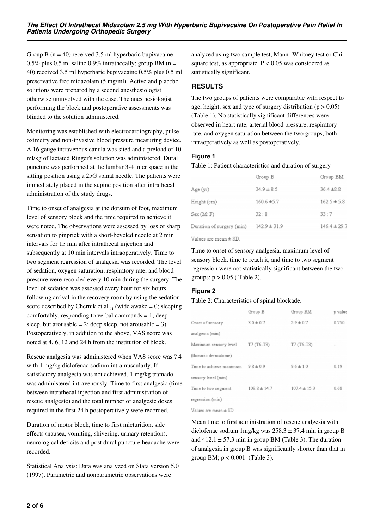Group B  $(n = 40)$  received 3.5 ml hyperbaric bupivacaine 0.5% plus 0.5 ml saline 0.9% intrathecally; group BM ( $n =$ 40) received 3.5 ml hyperbaric bupivacaine 0.5% plus 0.5 ml preservative free midazolam (5 mg/ml). Active and placebo solutions were prepared by a second anesthesiologist otherwise uninvolved with the case. The anesthesiologist performing the block and postoperative assessments was blinded to the solution administered.

Monitoring was established with electrocardiography, pulse oximetry and non-invasive blood pressure measuring device. A 16 gauge intravenous canula was sited and a preload of 10 ml/kg of lactated Ringer's solution was administered. Dural puncture was performed at the lumbar 3-4 inter space in the sitting position using a 25G spinal needle. The patients were immediately placed in the supine position after intrathecal administration of the study drugs.

Time to onset of analgesia at the dorsum of foot, maximum level of sensory block and the time required to achieve it were noted. The observations were assessed by loss of sharp sensation to pinprick with a short-beveled needle at 2 min intervals for 15 min after intrathecal injection and subsequently at 10 min intervals intraoperatively. Time to two segment regression of analgesia was recorded. The level of sedation, oxygen saturation, respiratory rate, and blood pressure were recorded every 10 min during the surgery. The level of sedation was assessed every hour for six hours following arrival in the recovery room by using the sedation score described by Chernik et al  $_{11}$  (wide awake = 0; sleeping comfortably, responding to verbal commands  $= 1$ ; deep sleep, but arousable  $= 2$ ; deep sleep, not arousable  $= 3$ ). Postoperatively, in addition to the above, VAS score was noted at 4, 6, 12 and 24 h from the institution of block.

Rescue analgesia was administered when VAS score was ? 4 with 1 mg/kg diclofenac sodium intramuscularly. If satisfactory analgesia was not achieved, 1 mg/kg tramadol was administered intravenously. Time to first analgesic (time between intrathecal injection and first administration of rescue analgesic) and the total number of analgesic doses required in the first 24 h postoperatively were recorded.

Duration of motor block, time to first micturition, side effects (nausea, vomiting, shivering, urinary retention), neurological deficits and post dural puncture headache were recorded.

Statistical Analysis: Data was analyzed on Stata version 5.0 (1997). Parametric and nonparametric observations were

analyzed using two sample test, Mann- Whitney test or Chisquare test, as appropriate.  $P < 0.05$  was considered as statistically significant.

## **RESULTS**

The two groups of patients were comparable with respect to age, height, sex and type of surgery distribution  $(p > 0.05)$ (Table 1). No statistically significant differences were observed in heart rate, arterial blood pressure, respiratory rate, and oxygen saturation between the two groups, both intraoperatively as well as postoperatively.

## **Figure 1**

Table 1: Patient characteristics and duration of surgery

|                           | Group B          | Group BM         |
|---------------------------|------------------|------------------|
| Age (yr)                  | $34.9 \pm 8.5$   | $36.4 \pm 8.8$   |
| Height (cm)               | $160.6 \pm 5.7$  | $162.5 \pm 5.8$  |
| Sex (M: F)                | 32.8             | 33:7             |
| Duration of surgery (min) | $142.9 \pm 31.9$ | $146.4 \pm 29.7$ |

Values are mean ± SD.

Time to onset of sensory analgesia, maximum level of sensory block, time to reach it, and time to two segment regression were not statistically significant between the two groups;  $p > 0.05$  (Table 2).

## **Figure 2**

Table 2: Characteristics of spinal blockade.

|                         | Group B          | Group BM         | p value |
|-------------------------|------------------|------------------|---------|
| Onset of sensory        | $3.0 \pm 0.7$    | $2.9 \pm 0.7$    | 0.750   |
| analgesia (min)         |                  |                  |         |
| Maximum sensory level   | T7 (T6-T8)       | T7 (T6-T8)       |         |
| (thoracic dermatome)    |                  |                  |         |
| Time to achieve maximum | $9.8 \pm 0.9$    | $9.6 \pm 1.0$    | 0.19    |
| sensory level (min)     |                  |                  |         |
| Time to two segment     | $108.8 \pm 14.7$ | $107.4 \pm 15.3$ | 0.68    |
| regression (min)        |                  |                  |         |
|                         |                  |                  |         |

Values are mean ± SD

Mean time to first administration of rescue analgesia with diclofenac sodium 1mg/kg was 258.3 ± 37.4 min in group B and  $412.1 \pm 57.3$  min in group BM (Table 3). The duration of analgesia in group B was significantly shorter than that in group BM; p < 0.001. (Table 3).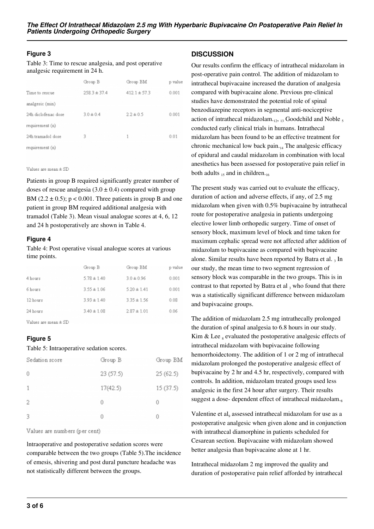## **Figure 3**

Table 3: Time to rescue analgesia, and post operative analgesic requirement in 24 h.

|                     | Group B          | Group BM         | p value |
|---------------------|------------------|------------------|---------|
| Time to rescue      | $258.3 \pm 37.4$ | $412.1 \pm 57.3$ | 0.001   |
| analgesic (min)     |                  |                  |         |
| 24h diclofenac dose | $3.0 \pm 0.4$    | $2.2 \pm 0.5$    | 0.001   |
| requirement (n)     |                  |                  |         |
| 24h tramadol dose   | 3                | 1                | 0.01    |
| requirement (n)     |                  |                  |         |
|                     |                  |                  |         |
|                     |                  |                  |         |

Values are mean ± SD

Patients in group B required significantly greater number of doses of rescue analgesia  $(3.0 \pm 0.4)$  compared with group BM ( $2.2 \pm 0.5$ ); p < 0.001. Three patients in group B and one patient in group BM required additional analgesia with tramadol (Table 3). Mean visual analogue scores at 4, 6, 12 and 24 h postoperatively are shown in Table 4.

#### **Figure 4**

Table 4: Post operative visual analogue scores at various time points.

|          | Group B         | Group BM        | p value |
|----------|-----------------|-----------------|---------|
| 4 hours  | $5.78 \pm 1.40$ | $3.0 \pm 0.96$  | 0.001   |
| 6 hours  | $3.55 \pm 1.06$ | $5.20 \pm 1.41$ | 0.001   |
| 12 hours | $3.93 \pm 1.40$ | $3.35 \pm 1.56$ | 0.08    |
| 24 hours | $3.40 \pm 1.08$ | $2.87 \pm 1.01$ | 0.06    |
|          |                 |                 |         |

Values are mean ± SD

## **Figure 5**

#### Table 5: Intraoperative sedation scores.

| Sedation score | Group B  | Group BM |
|----------------|----------|----------|
| Û              | 23(57.5) | 25(62.5) |
| 1              | 17(42.5) | 15(37.5) |
| 2              | 0        | n        |
| 3              | 0        |          |

Values are numbers (per cent)

lntraoperative and postoperative sedation scores were comparable between the two groups (Table 5).The incidence of emesis, shivering and post dural puncture headache was not statistically different between the groups.

## **DISCUSSION**

Our results confirm the efficacy of intrathecal midazolam in post-operative pain control. The addition of midazolam to intrathecal bupivacaine increased the duration of analgesia compared with bupivacaine alone. Previous pre-clinical studies have demonstrated the potential role of spinal benzodiazepine receptors in segmental anti-nociceptive action of intrathecal midazolam. $_{12}$ ,  $_{13}$  Goodchild and Noble  $_5$ conducted early clinical trials in humans. Intrathecal midazolam has been found to be an effective treatment for chronic mechanical low back pain. $_{14}$  The analgesic efficacy of epidural and caudal midazolam in combination with local anesthetics has been assessed for postoperative pain relief in both adults  $_{15}$  and in children.

The present study was carried out to evaluate the efficacy, duration of action and adverse effects, if any, of 2.5 mg midazolam when given with 0.5% bupivacaine by intrathecal route for postoperative analgesia in patients undergoing elective lower limb orthopedic surgery. Time of onset of sensory block, maximum level of block and time taken for maximum cephalic spread were not affected after addition of midazolam to bupivacaine as compared with bupivacaine alone. Similar results have been reported by Batra et al. 3 In our study, the mean time to two segment regression of sensory block was comparable in the two groups. This is in contrast to that reported by Batra et al  $_3$  who found that there was a statistically significant difference between midazolam and bupivacaine groups.

The addition of midazolam 2.5 mg intrathecally prolonged the duration of spinal analgesia to 6.8 hours in our study. Kim & Lee  $_8$  evaluated the postoperative analgesic effects of intrathecal midazolam with bupivacaine following hemorrhoidectomy. The addition of 1 or 2 mg of intrathecal midazolam prolonged the postoperative analgesic effect of bupivacaine by 2 hr and 4.5 hr, respectively, compared with controls. In addition, midazolam treated groups used less analgesic in the first 24 hour after surgery. Their results suggest a dose- dependent effect of intrathecal midazolam.<sub>8</sub>

Valentine et al, assessed intrathecal midazolam for use as a postoperative analgesic when given alone and in conjunction with intrathecal diamorphine in patients scheduled for Cesarean section. Bupivacaine with midazolam showed better analgesia than bupivacaine alone at 1 hr.

Intrathecal midazolam 2 mg improved the quality and duration of postoperative pain relief afforded by intrathecal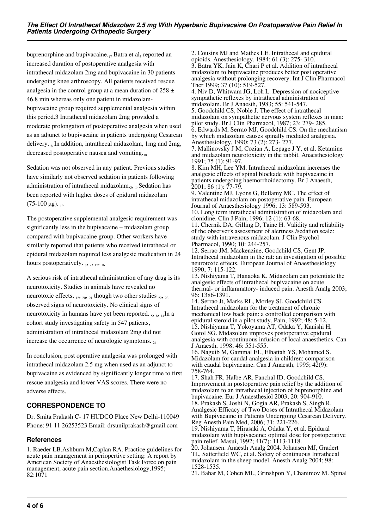buprenorphine and bupivacaine. $_{17}$  Batra et al, reported an increased duration of postoperative analgesia with intrathecal midazolam 2mg and bupivacaine in 30 patients undergoing knee arthroscopy. All patients received rescue analgesia in the control group at a mean duration of  $258 \pm$ 46.8 min whereas only one patient in midazolambupivacaine group required supplemental analgesia within this period.3 Intrathecal midazolam 2mg provided a moderate prolongation of postoperative analgesia when used as an adjunct to bupivacaine in patients undergoing Cesarean delivery.18 In addition, intrathecal midazolam, 1mg and 2mg, decreased postoperative nausea and vomiting. $_{18}$ 

Sedation was not observed in any patient. Previous studies have similarly not observed sedation in patients following administration of intrathecal midazolam.<sub>3</sub>, 14Sedation has been reported with higher doses of epidural midazolam  $(75-100 \text{ µg})$ . 19

The postoperative supplemental analgesic requirement was significantly less in the bupivacaine – midazolam group compared with bupivacaine group. Other workers have similarly reported that patients who received intrathecal or epidural midazolam required less analgesic medication in 24 hours postoperatively.  $_8$ ,  $_9$ ,  $_{15}$ ,  $_{16}$ 

A serious risk of intrathecal administration of any drug is its neurotoxicity. Studies in animals have revealed no neurotoxic effects,  $_{12}$ ,  $_{20}$ ,  $_{21}$  though two other studies  $_{22}$ ,  $_{23}$ observed signs of neurotoxicity. No clinical signs of neurotoxicity in humans have yet been reported.  $_5$ ,  $_8$ ,  $_{14}$ In a cohort study investigating safety in 547 patients, administration of intrathecal midazolam 2mg did not increase the occurrence of neurologic symptoms.  $_{24}$ 

In conclusion, post operative analgesia was prolonged with intrathecal midazolam 2.5 mg when used as an adjunct to bupivacaine as evidenced by significantly longer time to first rescue analgesia and lower VAS scores. There were no adverse effects.

# **CORRESPONDENCE TO**

Dr. Smita Prakash C- 17 HUDCO Place New Delhi-110049 Phone: 91 11 26253523 Email: drsunilprakash@gmail.com

## **References**

1. Raeder LB,Ashburn M,Caplan RA. Practice guidelines for acute pain management in periopertive setting: A report by American Society of Anaesthesiologist Task Force on pain management, acute pain section.Anaethesiology,1995; 82:1071

2. Cousins MJ and Mathes LE. Intrathecal and epidural opioids. Anesthesiology, 1984; 61 (3): 275- 310. 3. Batra YK, Jain K, Chari P et al. Addition of intrathecal midazolam to bupivacaine produces better post operative analgesia without prolonging recovery. Int J Clin Pharmacol Ther 1999; 37 (10): 519-527.

4. Niv D, Whitwam JG, Loh L. Depression of nociceptive sympathetic reflexes by intrathecal administration of midazolam. Br J Anaesth, 1983; 55: 541-547.

5. Goodchild CS, Noble J. The effect of intrathecal midazolam on sympathetic nervous system reflexes in man: pilot study. Br J Clin Pharmacol, 1987; 23: 279- 285. 6. Edwards M, Serrao MJ, Goodchild CS. On the mechanism by which midazolam causes spinally mediated analgesia. Anesthesiology, 1990; 73 (2): 273- 277.

7. Mallinovsky J M, Cozian A, Lepage J Y, et al. Ketamine and midazolam neurotoxicity in the rabbit. Anaesthesiology 1991; 75 (1): 91-97.

8. Kim MH, Lee YM. Intrathecal midazolam increases the analgesic effects of spinal blockade with bupivacaine in patients undergoing haemorrhoidectomy. Br J Anaesth, 2001; 86 (1): 77-79.

9. Valentine MJ, Lyons G, Bellamy MC. The effect of intrathecal midazolam on postoperative pain. European Journal of Anaesthesiology 1996; 13: 589-593. 10. Long term intrathecal administration of midazolam and

clonidine. Clin J Pain, 1996; 12 (1): 63-68. 11. Chernik DA, Gilling D, Taine H. Validity and reliability of the observer's assessment of alertness /sedation scale: study with intravenous midazolam. J Clin Psychol Pharmacol, 1990; 10: 244-257.

12. Serrao JM, Mackenzine, Goodchild CS, Gent JP. Intrathecal midazolam in the rat: an investigation of possible neurotoxic effects. European Journal of Anaesthesiology 1990; 7: 115-122.

13. Nishiyama T, Hanaoka K. Midazolam can potentiate the analgesic effects of intrathecal bupivacaine on acute thermal- or inflammatory- induced pain. Anesth Analg 2003; 96: 1386-1391.

14. Serrao Jt, Marks RL, Morley SJ, Goodchild CS. Intrathecal midazolam for the treatment of chronic mechanical low back pain: a controlled comparison with epidural steroid in a pilot study. Pain, 1992; 48: 5-12. 15. Nishiyama T, Yokoyama AT, Odaka Y, Kanishi H, Gotol SG. Midazolam improves postoperative epidural analgesia with continuous infusion of local anaesthetics. Can J Anaesth, 1998; 46: 551-555.

16. Naguib M, Gammal EL, Elhattah YS, Mohamed S. Midazolam for caudal analgesia in children: comparison with caudal bupivacaine. Can J Anaesth, 1995;  $42(9)$ : 758-764.

17. Shah FR, Halbe AR, Panchal ID, Goodchild CS. Improvement in postoperative pain relief by the addition of midazolam to an intrathecal injection of buprenorphine and bupivacaine. Eur J Anaesthesiol 2003; 20: 904-910. 18. Prakash S, Joshi N, Gogia AR, Prakash S, Singh R. Analgesic Efficacy of Two Doses of Intrathecal Midazolam with Bupivacaine in Patients Undergoing Cesarean Delivery. Reg Anesth Pain Med, 2006; 31: 221-226.

19. Nishiyama T, Hirasaki A, Odaka Y, et al. Epidural midazolam with bupivacaine: optimal dose for postoperative pain relief. Masui, 1992; 41(7): 1113-1118.

20. Johansen. Anaesth Analg 2004. Johansen MJ, Gradert TL, Satterfield WC, et al. Safety of continuous Intrathecal midazolam in the sheep model. Anesth Analg 2004; 98: 1528-1535.

21. Bahar M, Cohen ML, Grinshpon Y, Chanimov M. Spinal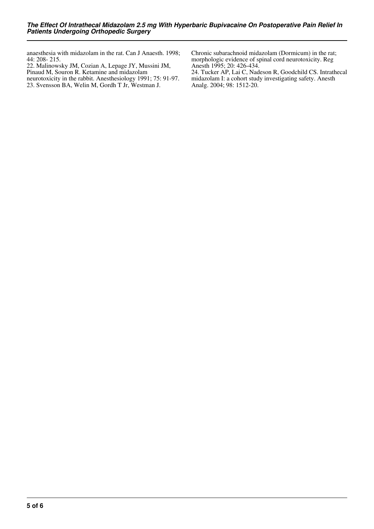anaesthesia with midazolam in the rat. Can J Anaesth. 1998; 44: 208- 215.

22. Malinowsky JM, Cozian A, Lepage JY, Mussini JM, Pinaud M, Souron R. Ketamine and midazolam neurotoxicity in the rabbit. Anesthesiology 1991; 75: 91-97. 23. Svensson BA, Welin M, Gordh T Jr, Westman J.

Chronic subarachnoid midazolam (Dormicum) in the rat; morphologic evidence of spinal cord neurotoxicity. Reg Anesth 1995; 20: 426-434.

24. Tucker AP, Lai C, Nadeson R, Goodchild CS. Intrathecal midazolam I: a cohort study investigating safety. Anesth Analg. 2004; 98: 1512-20.